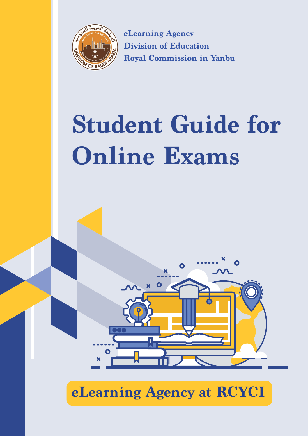

**eLearning Agency Division of Education Royal Commission in Yanbu**

# **Student Guide for Online Exams**



**eLearning Agency at RCYCI**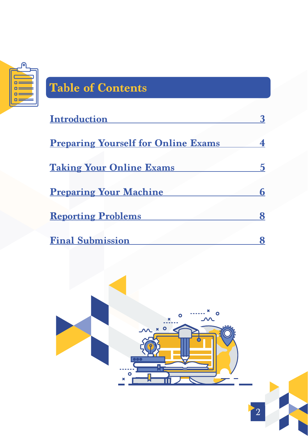

## **Table of Contents**

| <b>Introduction</b>                        |   |
|--------------------------------------------|---|
|                                            |   |
| <b>Preparing Yourself for Online Exams</b> | 4 |
|                                            |   |
| <b>Taking Your Online Exams</b>            |   |
|                                            |   |
| <b>Preparing Your Machine</b>              | 6 |
|                                            |   |
| <b>Reporting Problems</b>                  | 8 |
|                                            |   |
| <b>Final Submission</b>                    |   |

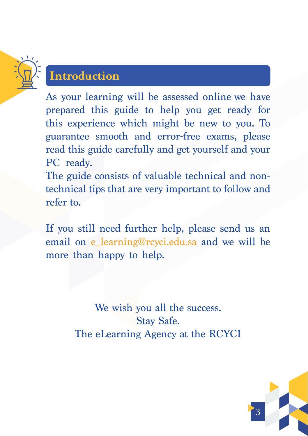<span id="page-2-0"></span>

#### **Introduction**

As your learning will be assessed online we have prepared this guide to help you get ready for this experience which might be new to you. To guarantee smooth and error-free exams, please read this guide carefully and get yourself and your PC ready.

The guide consists of valuable technical and nontechnical tips that are very important to follow and refer to.

If you still need further help, please send us an email on e\_learning@rcyci.edu.sa and we will be more than happy to help.

> We wish you all the success. Stay Safe. The eLearning Agency at the RCYCI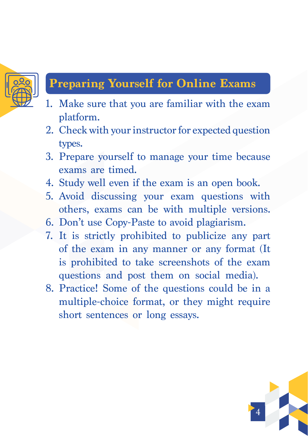<span id="page-3-0"></span>

#### **Preparing Yourself for Online Exams**

- 1. Make sure that you are familiar with the exam platform.
- 2. Check with your instructor for expected question types.
- 33.Prepare yourself to manage your time because exams are timed.
- 4. Study well even if the exam is an open book.
- 55.Avoid discussing your exam questions with others, exams can be with multiple versions.
- 66.Don't use Copy-Paste to avoid plagiarism.
- 77.It is strictly prohibited to publicize any part of the exam in any manner or any format (It is prohibited to take screenshots of the exam questions and post them on social media).
- 8. Practice! Some of the questions could be in a multiple-choice format, or they might require short sentences or long essays.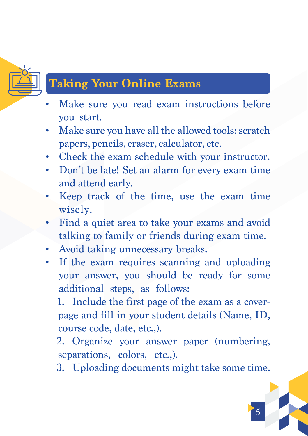<span id="page-4-0"></span>

#### **Taking Your Online Exams**

- Make sure you read exam instructions before you start.
- Make sure you have all the allowed tools: scratch papers, pencils, eraser, calculator, etc.
- • Check the exam schedule with your instructor.
- Don't be late! Set an alarm for every exam time and attend early.
- Keep track of the time, use the exam time wisely.
- Find a quiet area to take your exams and avoid talking to family or friends during exam time.
- Avoid taking unnecessary breaks.
- If the exam requires scanning and uploading your answer, you should be ready for some additional steps, as follows:

1. Include the first page of the exam as a coverpage and fill in your student details (Name, ID, course code, date, etc.,).

22.Organize your answer paper (numbering, separations, colors, etc.,).

3. Uploading documents might take some time.

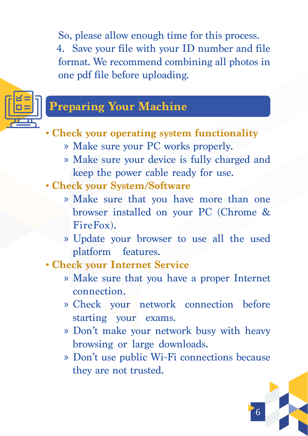<span id="page-5-0"></span>So, please allow enough time for this process. 44.Save your file with your ID number and file format. We recommend combining all photos in one pdf file before uploading.



#### **Preparing Your Machine**

- **• Check your operating system functionality** 
	- » Make sure your PC works properly.
	- » Make sure your device is fully charged and keep the power cable ready for use.
- **• Check your System/Software**
	- » Make sure that you have more than one browser installed on your PC (Chrome & FireFox).
	- » Update your browser to use all the used platform features.
- **• Check your Internet Service**
	- » Make sure that you have a proper Internet connection.
	- » Check your network connection before starting your exams.
	- » Don't make your network busy with heavy browsing or large downloads.
	- » Don't use public Wi-Fi connections because they are not trusted.

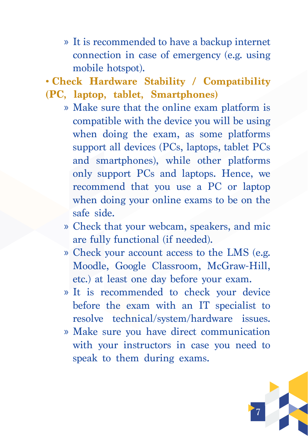- » It is recommended to have a backup internet connection in case of emergency (e.g. using mobile hotspot).
- **• Check Hardware Stability / Compatibility**
- **(PC, laptop, tablet, Smartphones)**
	- » Make sure that the online exam platform is compatible with the device you will be using when doing the exam, as some platforms support all devices (PCs, laptops, tablet PCs and smartphones), while other platforms only support PCs and laptops. Hence, we recommend that you use a PC or laptop when doing your online exams to be on the safe side.
	- » Check that your webcam, speakers, and mic are fully functional (if needed).
	- » Check your account access to the LMS (e.g. Moodle, Google Classroom, McGraw-Hill, etc.) at least one day before your exam.
	- » It is recommended to check your device before the exam with an IT specialist to resolve technical/system/hardware issues.
	- » Make sure you have direct communication with your instructors in case you need to speak to them during exams.